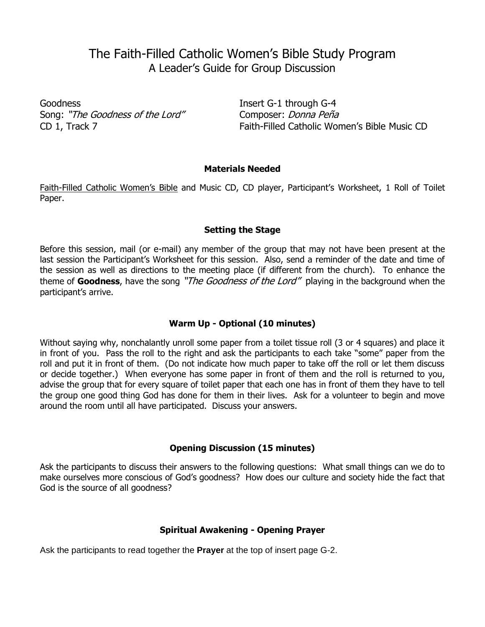# The Faith-Filled Catholic Women's Bible Study Program A Leader's Guide for Group Discussion

Goodness Insert G-1 through G-4 Song: "The Goodness of the Lord" Composer: Donna Peña

CD 1, Track 7 Faith-Filled Catholic Women's Bible Music CD

#### **Materials Needed**

Faith-Filled Catholic Women's Bible and Music CD, CD player, Participant's Worksheet, 1 Roll of Toilet Paper.

## **Setting the Stage**

Before this session, mail (or e-mail) any member of the group that may not have been present at the last session the Participant's Worksheet for this session. Also, send a reminder of the date and time of the session as well as directions to the meeting place (if different from the church). To enhance the theme of **Goodness**, have the song "The Goodness of the Lord" playing in the background when the participant's arrive.

# **Warm Up - Optional (10 minutes)**

Without saying why, nonchalantly unroll some paper from a toilet tissue roll (3 or 4 squares) and place it in front of you. Pass the roll to the right and ask the participants to each take "some" paper from the roll and put it in front of them. (Do not indicate how much paper to take off the roll or let them discuss or decide together.) When everyone has some paper in front of them and the roll is returned to you, advise the group that for every square of toilet paper that each one has in front of them they have to tell the group one good thing God has done for them in their lives. Ask for a volunteer to begin and move around the room until all have participated. Discuss your answers.

# **Opening Discussion (15 minutes)**

Ask the participants to discuss their answers to the following questions: What small things can we do to make ourselves more conscious of God's goodness? How does our culture and society hide the fact that God is the source of all goodness?

#### **Spiritual Awakening - Opening Prayer**

Ask the participants to read together the **Prayer** at the top of insert page G-2.